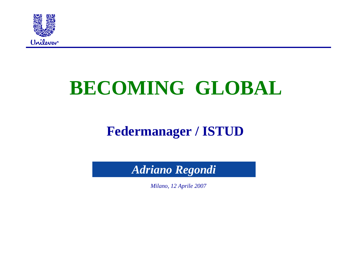

# **BECOMING GLOBAL**

### **Federmanager / ISTUD**

*Adriano Regondi*

*Milano, 12 Aprile 2007*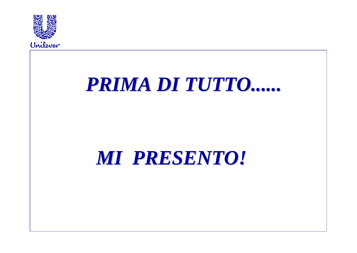



## MI PRESENTO!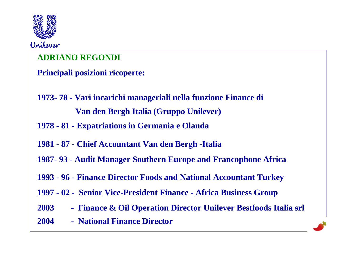

#### **ADRIANO REGONDI**

**Principali posizioni ricoperte:**

- **1973- 78 - Vari incarichi manageriali nella funzione Finance diVan den Bergh Italia (Gruppo Unilever)**
- **1978 - 81 - Expatriations in Germania e Olanda**
- **1981 - 87 - Chief Accountant Van den Bergh -Italia**
- **1987- 93 - Audit Manager Southern Europe and Francophone Africa**
- **1993 - 96 - Finance Director Foods and National Accountant Turkey**
- **1997 - 02 - Senior Vice-President Finance - Africa Business Group**
- **2003 - Finance & Oil Operation Director Unilever Bestfoods Italia srl**
- **2004 - National Finance Director**

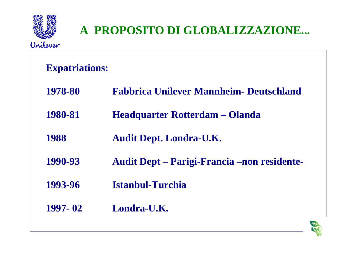

#### **Expatriations:**

| 1978-80 |  |  |  | <b>Fabbrica Unilever Mannheim- Deutschland</b> |
|---------|--|--|--|------------------------------------------------|
|---------|--|--|--|------------------------------------------------|

- **1980-81 Headquarter Rotterdam Olanda**
- **1988 Audit Dept. Londra-U.K.**
- **1990-93 Audit Dept Parigi-Francia –non residente-**
- **1993-96 Istanbul-Turchia**
- **1997- 02 Londra-U.K.**

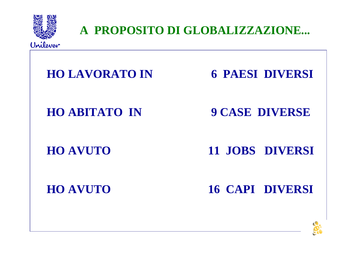

A PROPOSITO DI GLOBALIZZAZIONE...

**HO LAVORATO IN 6 PAESI DIVERSI HO ABITATO IN 9 CASE DIVERSE 11 JOBS DIVERSI HO AVUTO HO AVUTO 16 CAPI DIVERSI** 

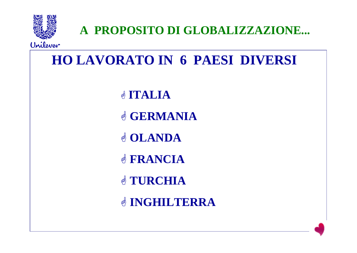

A PROPOSITO DI GLOBALIZZAZIONE...

Unilever

**HO LAVORATO IN 6 PAESI DIVERSI SITALIA** & GERMANIA & OLANDA **& FRANCIA & TURCHIA & INGHILTERRA**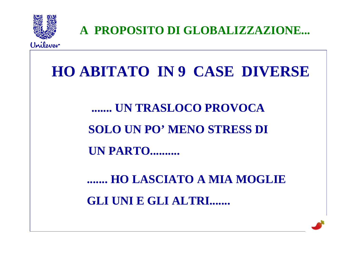

A PROPOSITO DI GLOBALIZZAZIONE...

## HO ABITATO IN 9 CASE DIVERSE

### ....... UN TRASLOCO PROVOCA **SOLO UN PO' MENO STRESS DI**

**UN PARTO..........** 

....... HO LASCIATO A MIA MOGLIE **GLI UNI E GLI ALTRI.......** 

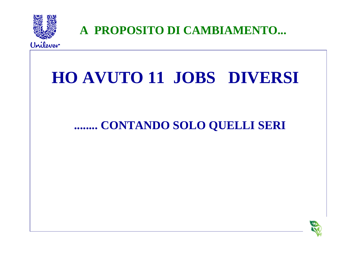

A PROPOSITO DI CAMBIAMENTO...

## **HO AVUTO 11 JOBS DIVERSI**

#### ........ CONTANDO SOLO QUELLI SERI